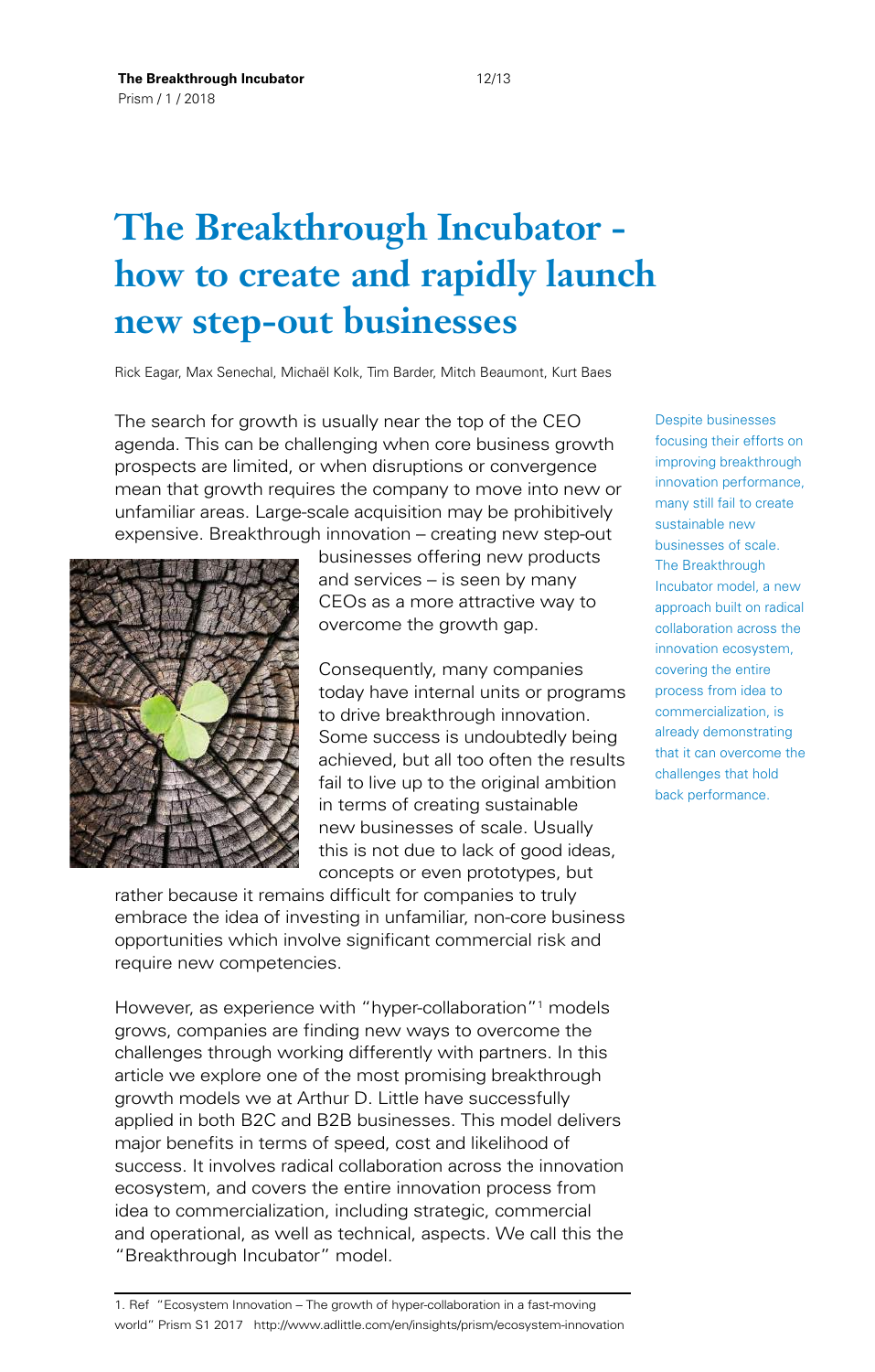#### 12/13

# **The Breakthrough Incubator how to create and rapidly launch new step-out businesses**

Rick Eagar, Max Senechal, Michaël Kolk, Tim Barder, Mitch Beaumont, Kurt Baes

The search for growth is usually near the top of the CEO agenda. This can be challenging when core business growth prospects are limited, or when disruptions or convergence mean that growth requires the company to move into new or unfamiliar areas. Large-scale acquisition may be prohibitively expensive. Breakthrough innovation – creating new step-out



businesses offering new products and services – is seen by many CEOs as a more attractive way to overcome the growth gap.

Consequently, many companies today have internal units or programs to drive breakthrough innovation. Some success is undoubtedly being achieved, but all too often the results fail to live up to the original ambition in terms of creating sustainable new businesses of scale. Usually this is not due to lack of good ideas, concepts or even prototypes, but

rather because it remains difficult for companies to truly embrace the idea of investing in unfamiliar, non-core business opportunities which involve significant commercial risk and require new competencies.

However, as experience with "hyper-collaboration"<sup>1</sup> models grows, companies are finding new ways to overcome the challenges through working differently with partners. In this article we explore one of the most promising breakthrough growth models we at Arthur D. Little have successfully applied in both B2C and B2B businesses. This model delivers major benefits in terms of speed, cost and likelihood of success. It involves radical collaboration across the innovation ecosystem, and covers the entire innovation process from idea to commercialization, including strategic, commercial and operational, as well as technical, aspects. We call this the "Breakthrough Incubator" model.

1. Ref "Ecosystem Innovation – The growth of hyper-collaboration in a fast-moving world" Prism S1 2017 <http://www.adlittle.com/en/insights/prism/ecosystem-innovation>

Despite businesses focusing their efforts on improving breakthrough innovation performance, many still fail to create sustainable new businesses of scale. The Breakthrough Incubator model, a new approach built on radical collaboration across the innovation ecosystem, covering the entire process from idea to commercialization, is already demonstrating that it can overcome the challenges that hold back performance.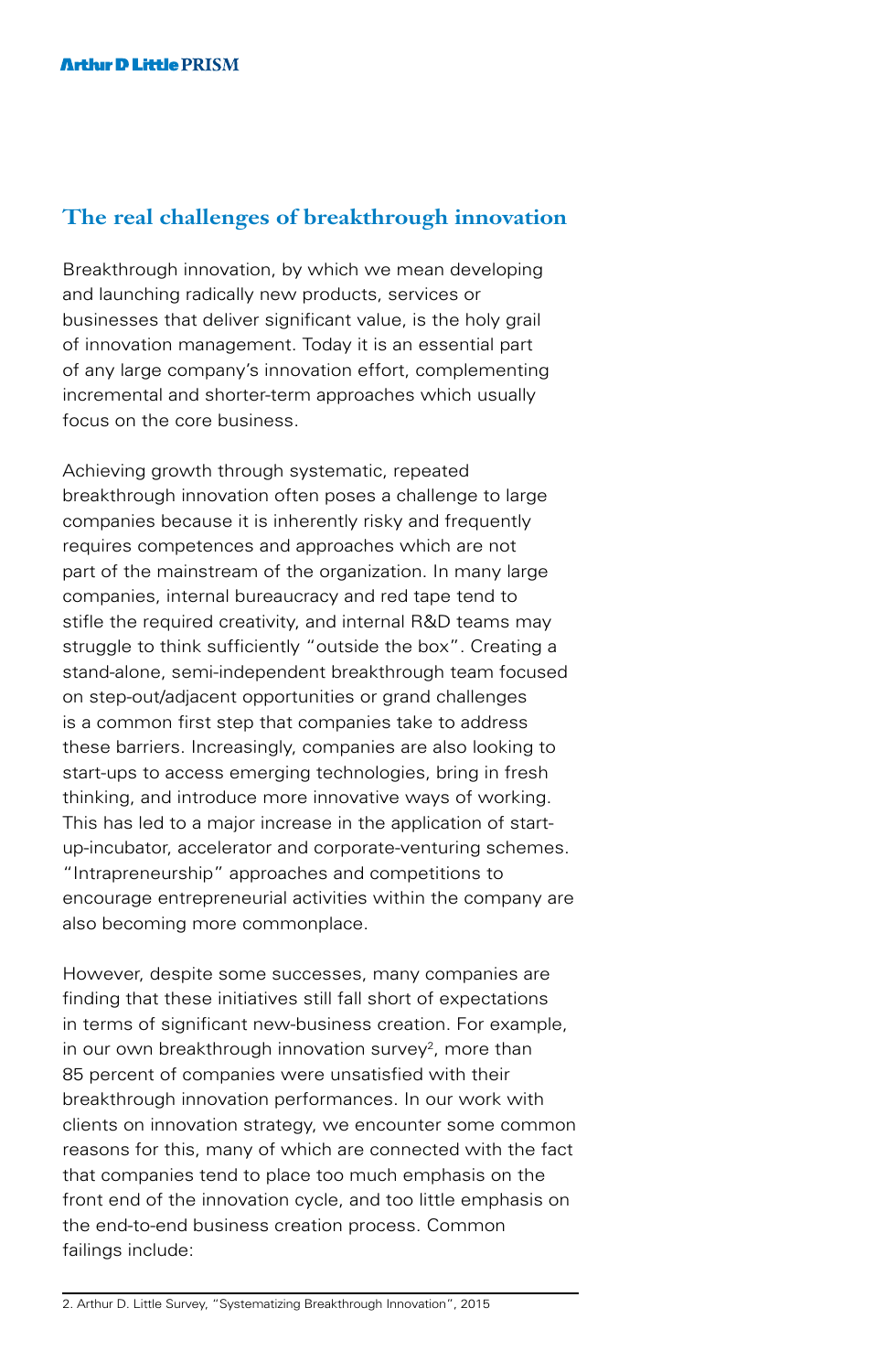# **The real challenges of breakthrough innovation**

Breakthrough innovation, by which we mean developing and launching radically new products, services or businesses that deliver significant value, is the holy grail of innovation management. Today it is an essential part of any large company's innovation effort, complementing incremental and shorter-term approaches which usually focus on the core business.

Achieving growth through systematic, repeated breakthrough innovation often poses a challenge to large companies because it is inherently risky and frequently requires competences and approaches which are not part of the mainstream of the organization. In many large companies, internal bureaucracy and red tape tend to stifle the required creativity, and internal R&D teams may struggle to think sufficiently "outside the box". Creating a stand-alone, semi-independent breakthrough team focused on step-out/adjacent opportunities or grand challenges is a common first step that companies take to address these barriers. Increasingly, companies are also looking to start-ups to access emerging technologies, bring in fresh thinking, and introduce more innovative ways of working. This has led to a major increase in the application of startup-incubator, accelerator and corporate-venturing schemes. "Intrapreneurship" approaches and competitions to encourage entrepreneurial activities within the company are also becoming more commonplace.

However, despite some successes, many companies are finding that these initiatives still fall short of expectations in terms of significant new-business creation. For example, in our own breakthrough innovation survey<sup>2</sup>, more than 85 percent of companies were unsatisfied with their breakthrough innovation performances. In our work with clients on innovation strategy, we encounter some common reasons for this, many of which are connected with the fact that companies tend to place too much emphasis on the front end of the innovation cycle, and too little emphasis on the end-to-end business creation process. Common failings include: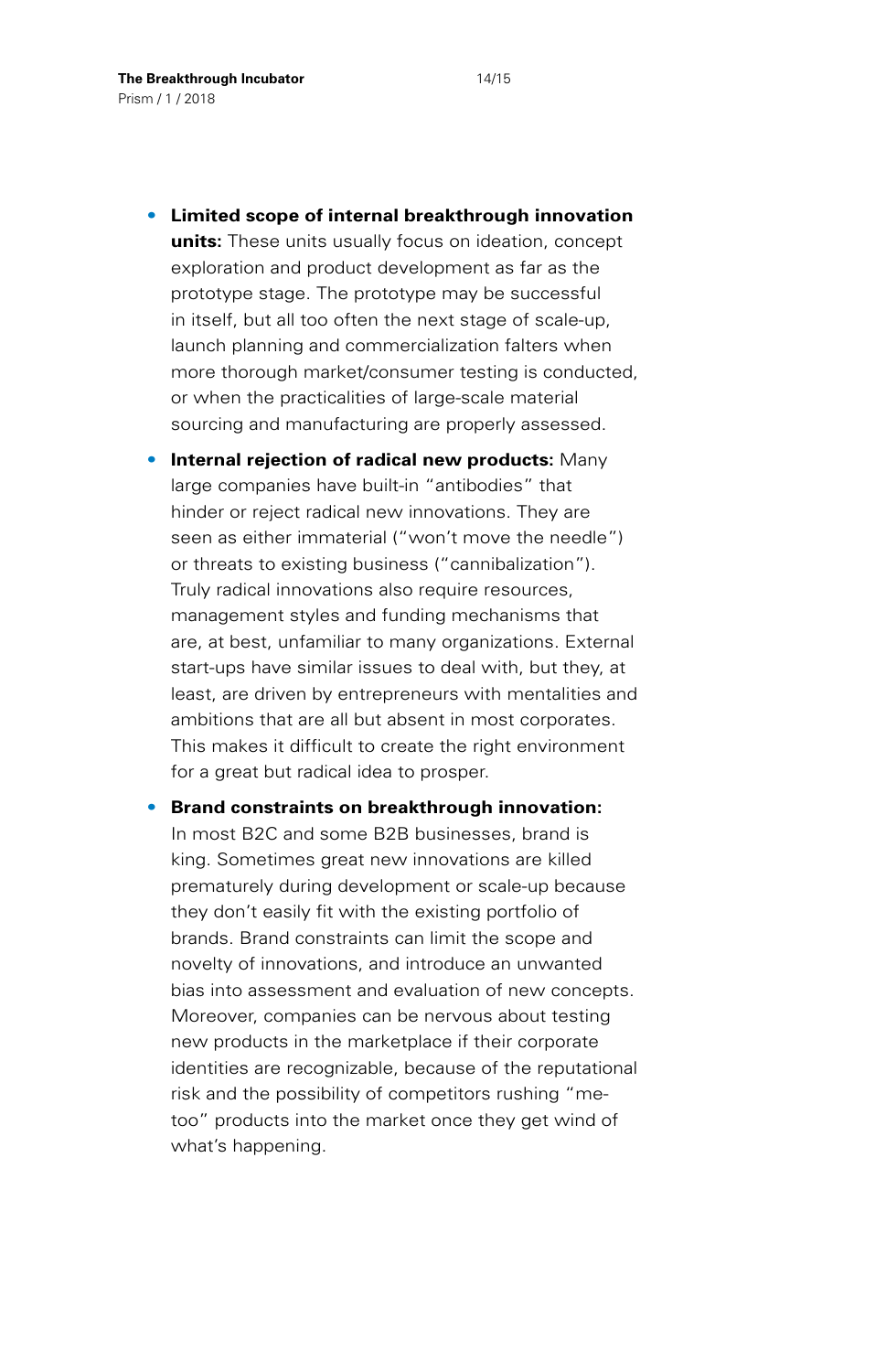- **Limited scope of internal breakthrough innovation units:** These units usually focus on ideation, concept exploration and product development as far as the prototype stage. The prototype may be successful in itself, but all too often the next stage of scale-up, launch planning and commercialization falters when more thorough market/consumer testing is conducted, or when the practicalities of large-scale material sourcing and manufacturing are properly assessed.
- **Internal rejection of radical new products:** Many large companies have built-in "antibodies" that hinder or reject radical new innovations. They are seen as either immaterial ("won't move the needle") or threats to existing business ("cannibalization"). Truly radical innovations also require resources, management styles and funding mechanisms that are, at best, unfamiliar to many organizations. External start-ups have similar issues to deal with, but they, at least, are driven by entrepreneurs with mentalities and ambitions that are all but absent in most corporates. This makes it difficult to create the right environment for a great but radical idea to prosper.
- **Brand constraints on breakthrough innovation:** In most B2C and some B2B businesses, brand is king. Sometimes great new innovations are killed prematurely during development or scale-up because they don't easily fit with the existing portfolio of brands. Brand constraints can limit the scope and novelty of innovations, and introduce an unwanted bias into assessment and evaluation of new concepts. Moreover, companies can be nervous about testing new products in the marketplace if their corporate identities are recognizable, because of the reputational risk and the possibility of competitors rushing "metoo" products into the market once they get wind of what's happening.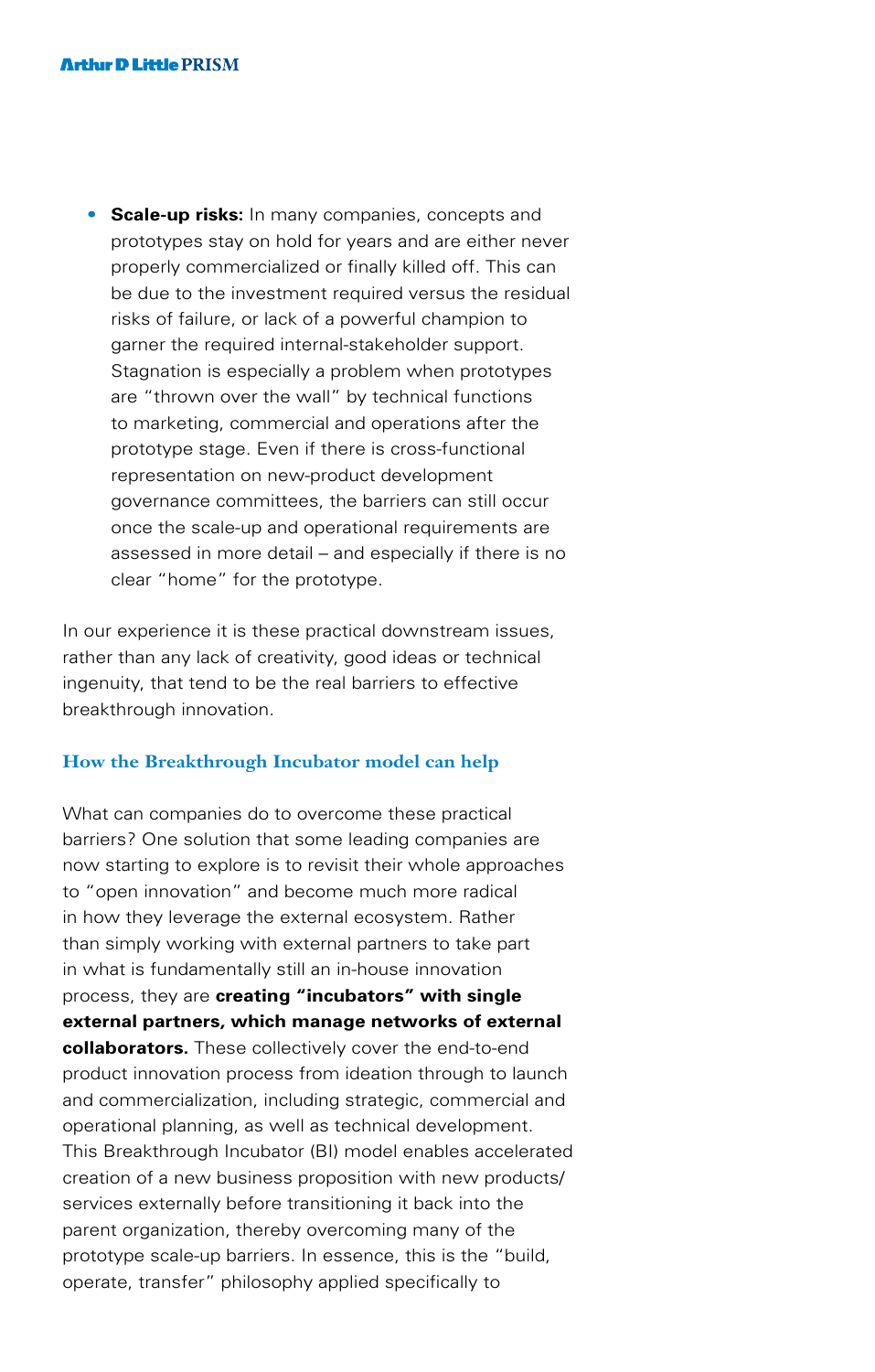• **Scale-up risks:** In many companies, concepts and prototypes stay on hold for years and are either never properly commercialized or finally killed off. This can be due to the investment required versus the residual risks of failure, or lack of a powerful champion to garner the required internal-stakeholder support. Stagnation is especially a problem when prototypes are "thrown over the wall" by technical functions to marketing, commercial and operations after the prototype stage. Even if there is cross-functional representation on new-product development governance committees, the barriers can still occur once the scale-up and operational requirements are assessed in more detail – and especially if there is no clear "home" for the prototype.

In our experience it is these practical downstream issues, rather than any lack of creativity, good ideas or technical ingenuity, that tend to be the real barriers to effective breakthrough innovation.

#### **How the Breakthrough Incubator model can help**

What can companies do to overcome these practical barriers? One solution that some leading companies are now starting to explore is to revisit their whole approaches to "open innovation" and become much more radical in how they leverage the external ecosystem. Rather than simply working with external partners to take part in what is fundamentally still an in-house innovation process, they are **creating "incubators" with single external partners, which manage networks of external collaborators.** These collectively cover the end-to-end product innovation process from ideation through to launch and commercialization, including strategic, commercial and operational planning, as well as technical development. This Breakthrough Incubator (BI) model enables accelerated creation of a new business proposition with new products/ services externally before transitioning it back into the parent organization, thereby overcoming many of the prototype scale-up barriers. In essence, this is the "build, operate, transfer" philosophy applied specifically to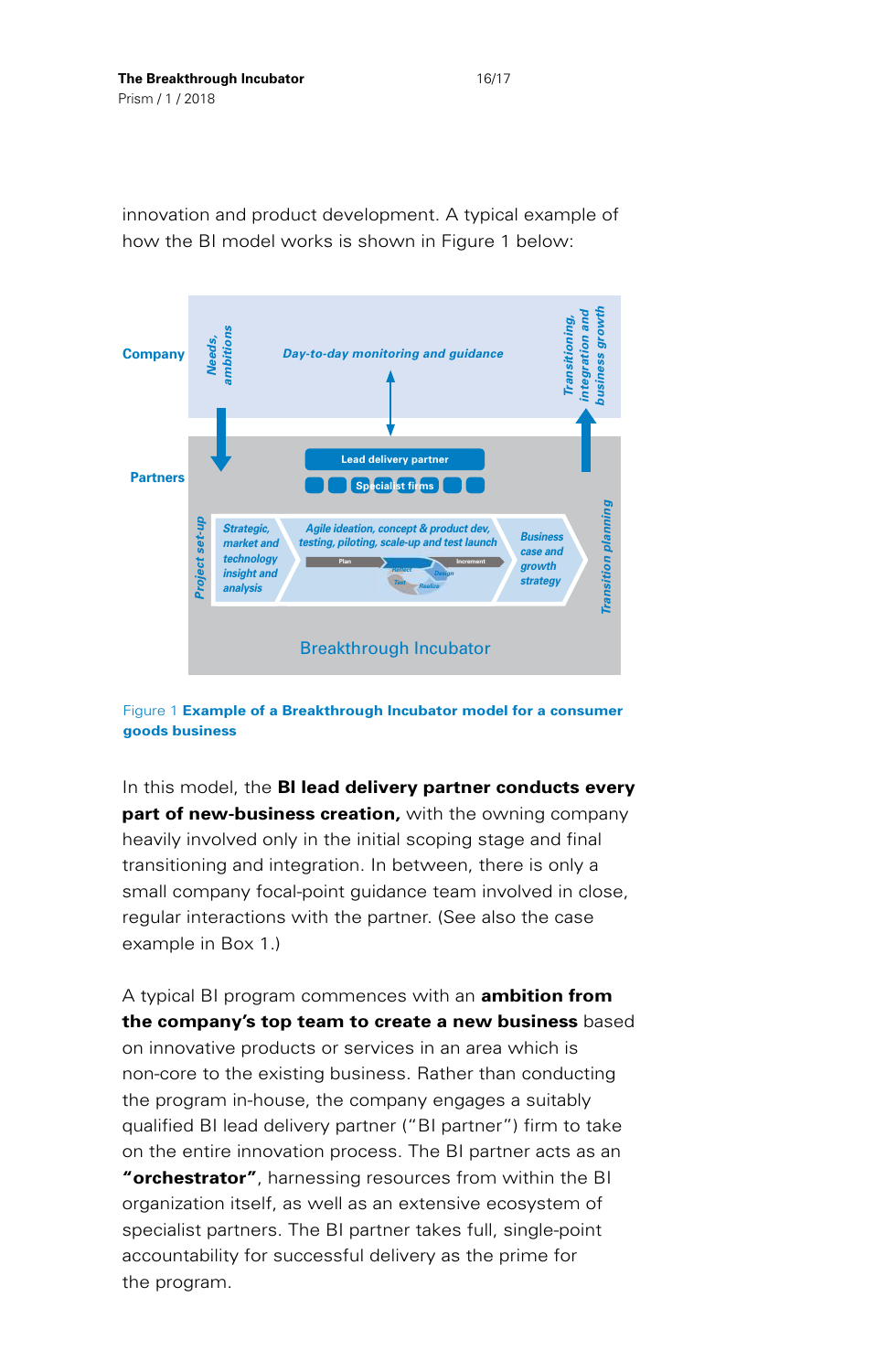*business growth integration and* growth ntegration and Transitioning, *Transitioning, ambitions Needs, Day-to-day monitoring and guidance* **Company** business **Lead delivery partner Partners Specialist firms** Transition planning *Transition planning Project set-up* roject set-up *Strategic, Agile ideation, concept & product dev, Business market and testing, piloting, scale-up and test launchcase and technology* **Plan Increment** *growth insight and Reflect Design Realize strategy Test analysis* Breakthrough Incubator

innovation and product development. A typical example of how the BI model works is shown in Figure 1 below:

Figure 1 **Example of a Breakthrough Incubator model for a consumer goods business**

In this model, the **BI lead delivery partner conducts every part of new-business creation,** with the owning company heavily involved only in the initial scoping stage and final transitioning and integration. In between, there is only a small company focal-point guidance team involved in close, regular interactions with the partner. (See also the case example in Box 1.)

A typical BI program commences with an **ambition from the company's top team to create a new business** based on innovative products or services in an area which is non-core to the existing business. Rather than conducting the program in-house, the company engages a suitably qualified BI lead delivery partner ("BI partner") firm to take on the entire innovation process. The BI partner acts as an **"orchestrator"**, harnessing resources from within the BI organization itself, as well as an extensive ecosystem of specialist partners. The BI partner takes full, single-point accountability for successful delivery as the prime for the program.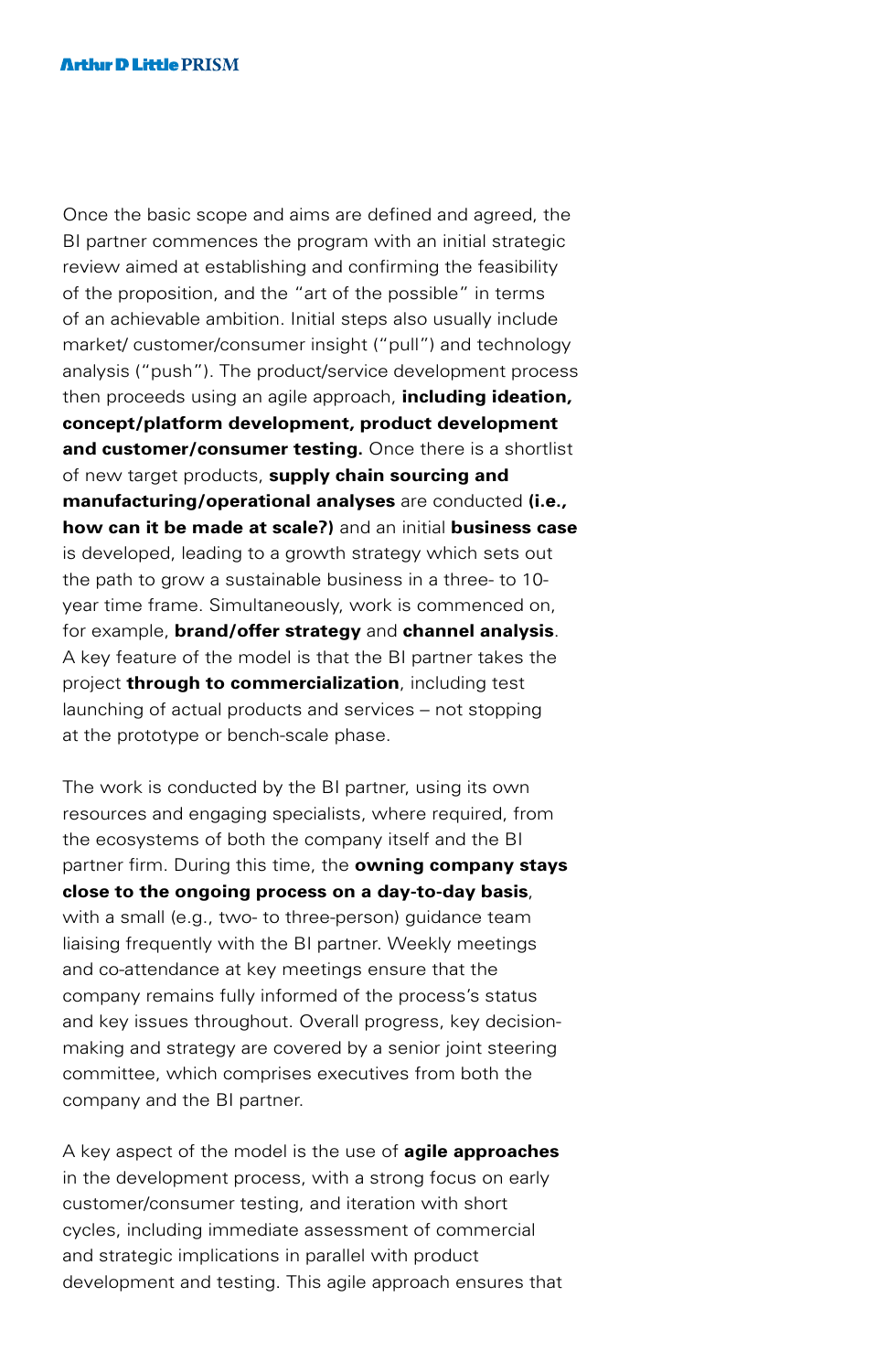Once the basic scope and aims are defined and agreed, the BI partner commences the program with an initial strategic review aimed at establishing and confirming the feasibility of the proposition, and the "art of the possible" in terms of an achievable ambition. Initial steps also usually include market/ customer/consumer insight ("pull") and technology analysis ("push"). The product/service development process then proceeds using an agile approach, **including ideation, concept/platform development, product development and customer/consumer testing.** Once there is a shortlist of new target products, **supply chain sourcing and manufacturing/operational analyses** are conducted **(i.e., how can it be made at scale?)** and an initial **business case** is developed, leading to a growth strategy which sets out the path to grow a sustainable business in a three- to 10 year time frame. Simultaneously, work is commenced on, for example, **brand/offer strategy** and **channel analysis**. A key feature of the model is that the BI partner takes the project **through to commercialization**, including test launching of actual products and services – not stopping at the prototype or bench-scale phase.

The work is conducted by the BI partner, using its own resources and engaging specialists, where required, from the ecosystems of both the company itself and the BI partner firm. During this time, the **owning company stays close to the ongoing process on a day-to-day basis**, with a small (e.g., two- to three-person) guidance team liaising frequently with the BI partner. Weekly meetings and co-attendance at key meetings ensure that the company remains fully informed of the process's status and key issues throughout. Overall progress, key decisionmaking and strategy are covered by a senior joint steering committee, which comprises executives from both the company and the BI partner.

A key aspect of the model is the use of **agile approaches** in the development process, with a strong focus on early customer/consumer testing, and iteration with short cycles, including immediate assessment of commercial and strategic implications in parallel with product development and testing. This agile approach ensures that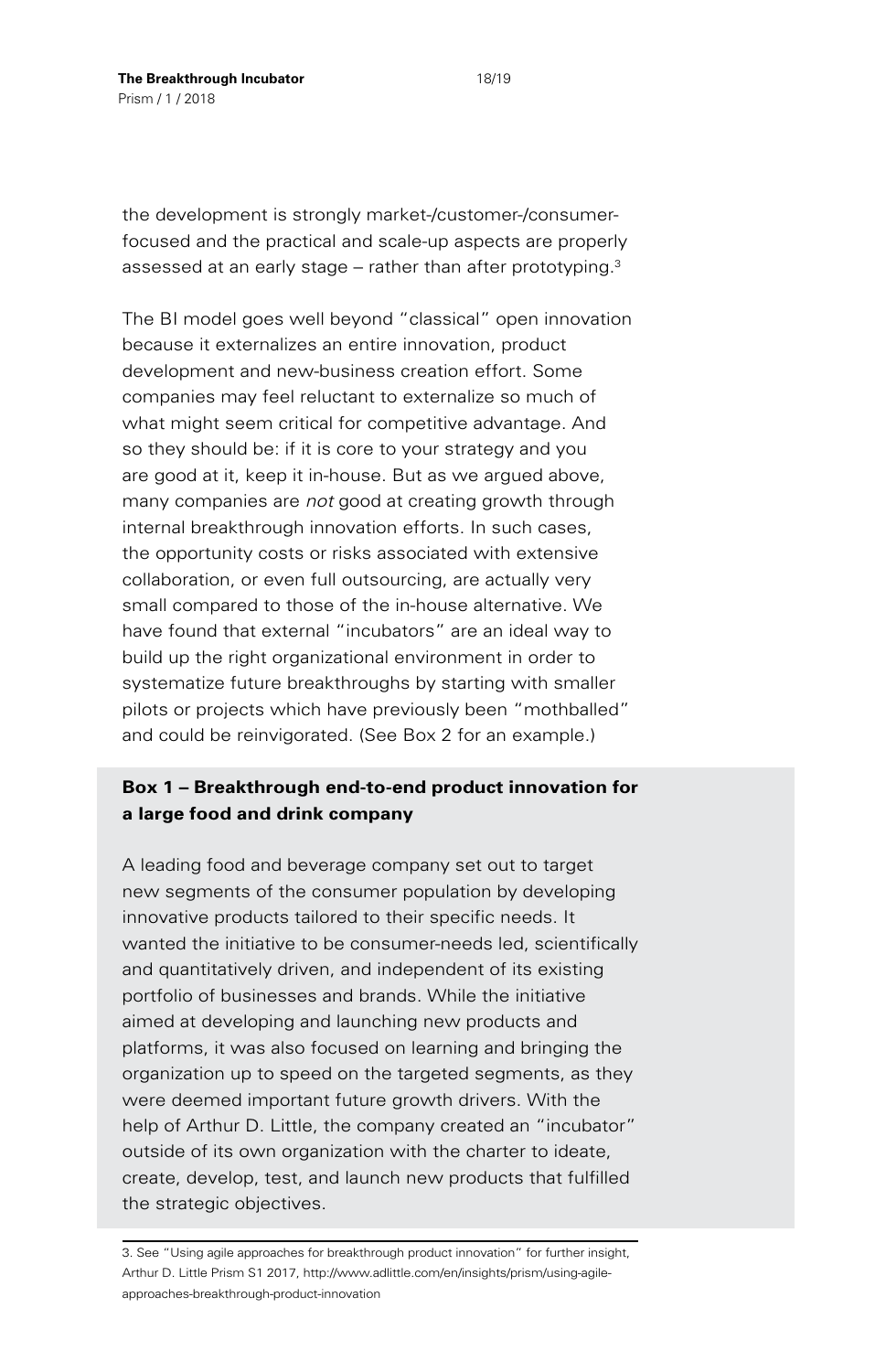the development is strongly market-/customer-/consumerfocused and the practical and scale-up aspects are properly assessed at an early stage  $-$  rather than after prototyping. $3$ 

The BI model goes well beyond "classical" open innovation because it externalizes an entire innovation, product development and new-business creation effort. Some companies may feel reluctant to externalize so much of what might seem critical for competitive advantage. And so they should be: if it is core to your strategy and you are good at it, keep it in-house. But as we argued above, many companies are *not* good at creating growth through internal breakthrough innovation efforts. In such cases, the opportunity costs or risks associated with extensive collaboration, or even full outsourcing, are actually very small compared to those of the in-house alternative. We have found that external "incubators" are an ideal way to build up the right organizational environment in order to systematize future breakthroughs by starting with smaller pilots or projects which have previously been "mothballed" and could be reinvigorated. (See Box 2 for an example.)

## **Box 1 – Breakthrough end-to-end product innovation for a large food and drink company**

A leading food and beverage company set out to target new segments of the consumer population by developing innovative products tailored to their specific needs. It wanted the initiative to be consumer-needs led, scientifically and quantitatively driven, and independent of its existing portfolio of businesses and brands. While the initiative aimed at developing and launching new products and platforms, it was also focused on learning and bringing the organization up to speed on the targeted segments, as they were deemed important future growth drivers. With the help of Arthur D. Little, the company created an "incubator" outside of its own organization with the charter to ideate, create, develop, test, and launch new products that fulfilled the strategic objectives.

<sup>3.</sup> See "Using agile approaches for breakthrough product innovation" for further insight, Arthur D. Little Prism S1 2017, [http://www.adlittle.com/en/insights/prism/using-agile](http://www.adlittle.com/en/insights/prism/using-agile-approaches-breakthrough-product-innovation)[approaches-breakthrough-product-innovation](http://www.adlittle.com/en/insights/prism/using-agile-approaches-breakthrough-product-innovation)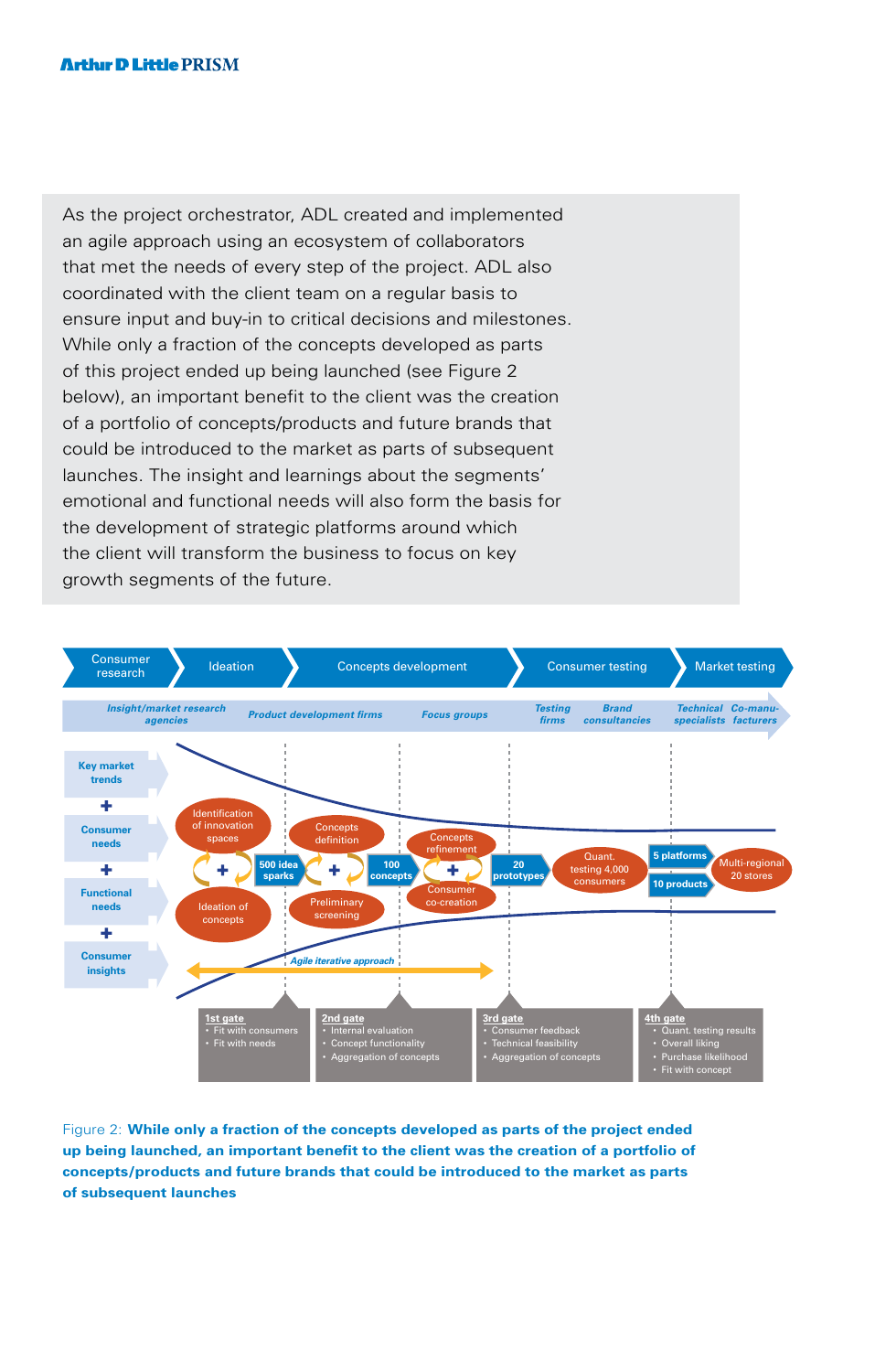As the project orchestrator, ADL created and implemented an agile approach using an ecosystem of collaborators that met the needs of every step of the project. ADL also coordinated with the client team on a regular basis to ensure input and buy-in to critical decisions and milestones. While only a fraction of the concepts developed as parts of this project ended up being launched (see Figure 2 below), an important benefit to the client was the creation of a portfolio of concepts/products and future brands that could be introduced to the market as parts of subsequent launches. The insight and learnings about the segments' emotional and functional needs will also form the basis for the development of strategic platforms around which the client will transform the business to focus on key growth segments of the future.



Figure 2: **While only a fraction of the concepts developed as parts of the project ended up being launched, an important benefit to the client was the creation of a portfolio of concepts/products and future brands that could be introduced to the market as parts of subsequent launches**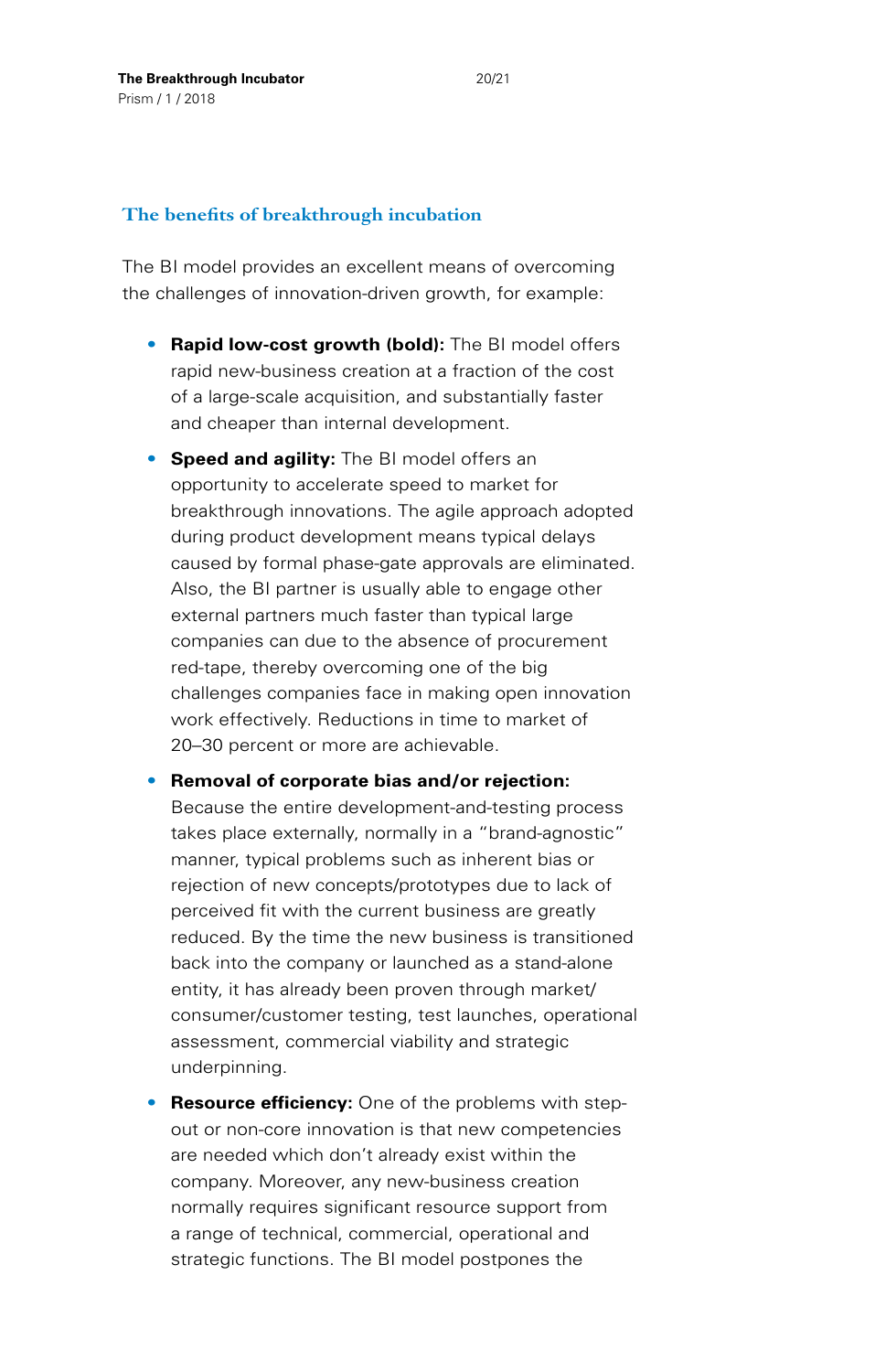## **The benefits of breakthrough incubation**

The BI model provides an excellent means of overcoming the challenges of innovation-driven growth, for example:

- **Rapid low-cost growth (bold):** The BI model offers rapid new-business creation at a fraction of the cost of a large-scale acquisition, and substantially faster and cheaper than internal development.
- **Speed and agility:** The BI model offers an opportunity to accelerate speed to market for breakthrough innovations. The agile approach adopted during product development means typical delays caused by formal phase-gate approvals are eliminated. Also, the BI partner is usually able to engage other external partners much faster than typical large companies can due to the absence of procurement red-tape, thereby overcoming one of the big challenges companies face in making open innovation work effectively. Reductions in time to market of 20–30 percent or more are achievable.
- **Removal of corporate bias and/or rejection:** Because the entire development-and-testing process takes place externally, normally in a "brand-agnostic" manner, typical problems such as inherent bias or rejection of new concepts/prototypes due to lack of perceived fit with the current business are greatly reduced. By the time the new business is transitioned back into the company or launched as a stand-alone entity, it has already been proven through market/ consumer/customer testing, test launches, operational assessment, commercial viability and strategic underpinning.
- **Resource efficiency:** One of the problems with stepout or non-core innovation is that new competencies are needed which don't already exist within the company. Moreover, any new-business creation normally requires significant resource support from a range of technical, commercial, operational and strategic functions. The BI model postpones the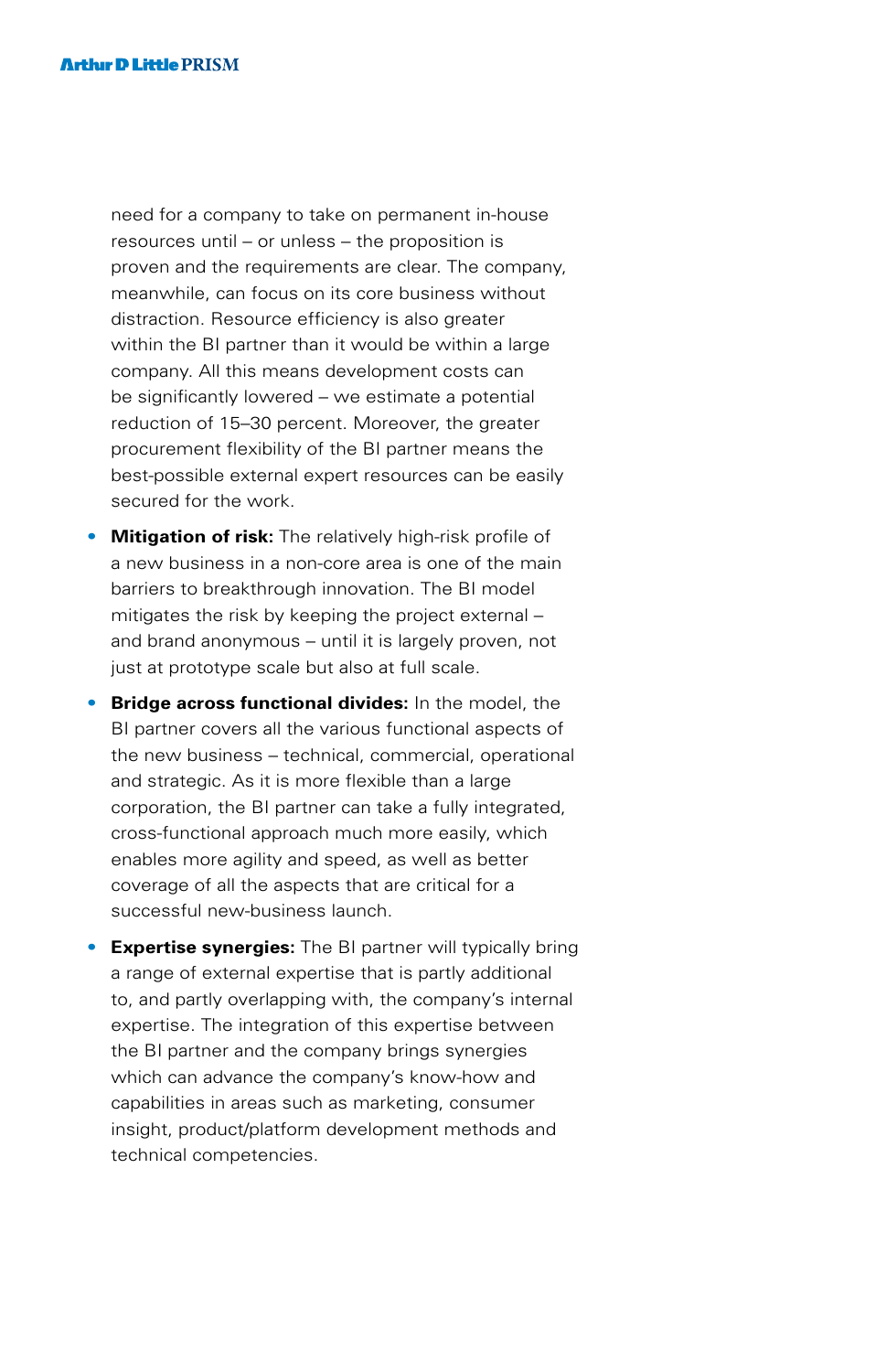need for a company to take on permanent in-house resources until – or unless – the proposition is proven and the requirements are clear. The company, meanwhile, can focus on its core business without distraction. Resource efficiency is also greater within the BI partner than it would be within a large company. All this means development costs can be significantly lowered – we estimate a potential reduction of 15–30 percent. Moreover, the greater procurement flexibility of the BI partner means the best-possible external expert resources can be easily secured for the work.

- **Mitigation of risk:** The relatively high-risk profile of a new business in a non-core area is one of the main barriers to breakthrough innovation. The BI model mitigates the risk by keeping the project external – and brand anonymous – until it is largely proven, not just at prototype scale but also at full scale.
- **Bridge across functional divides:** In the model, the BI partner covers all the various functional aspects of the new business – technical, commercial, operational and strategic. As it is more flexible than a large corporation, the BI partner can take a fully integrated, cross-functional approach much more easily, which enables more agility and speed, as well as better coverage of all the aspects that are critical for a successful new-business launch.
- **Expertise synergies:** The BI partner will typically bring a range of external expertise that is partly additional to, and partly overlapping with, the company's internal expertise. The integration of this expertise between the BI partner and the company brings synergies which can advance the company's know-how and capabilities in areas such as marketing, consumer insight, product/platform development methods and technical competencies.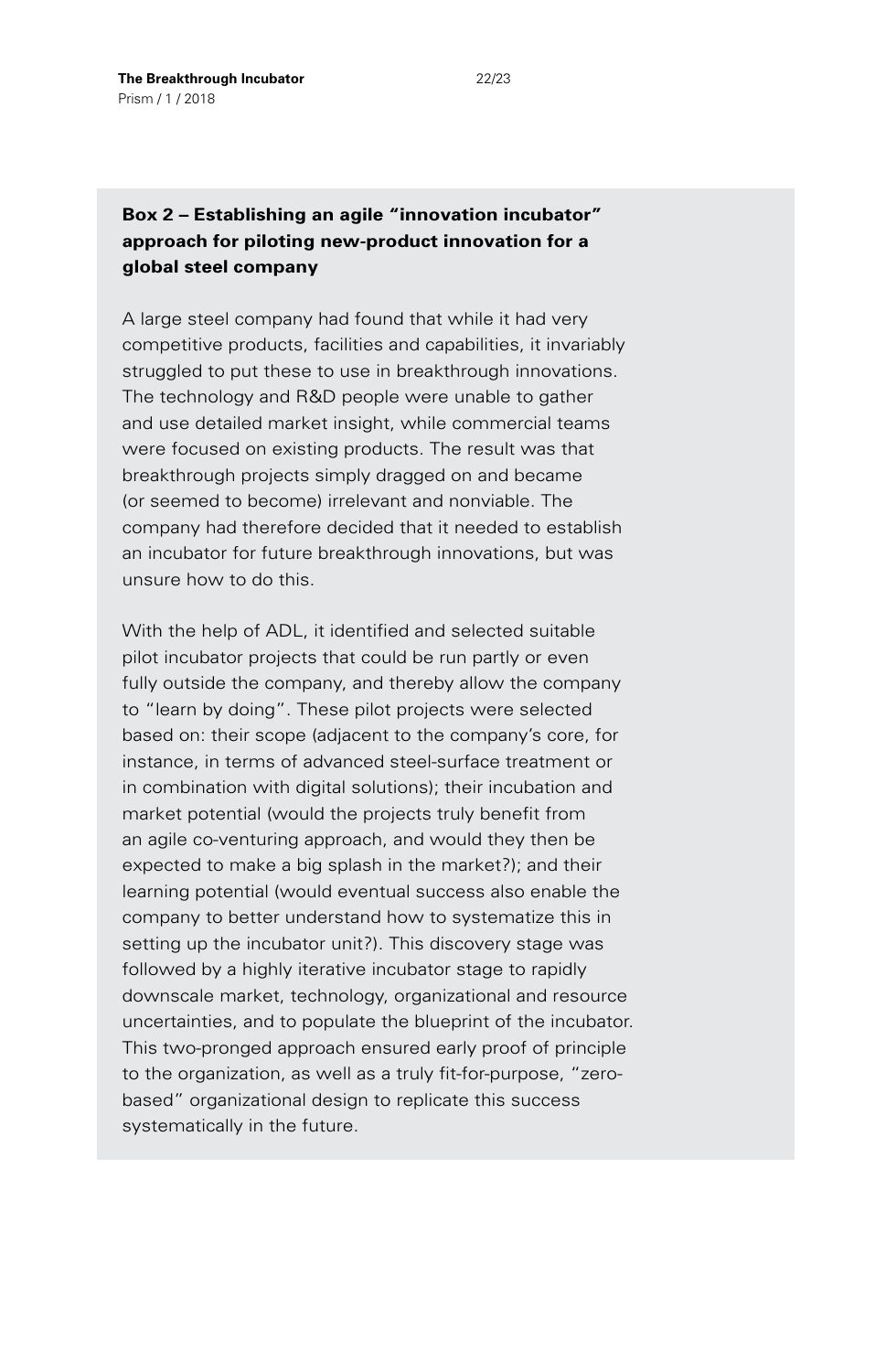## **Box 2 – Establishing an agile "innovation incubator" approach for piloting new-product innovation for a global steel company**

A large steel company had found that while it had very competitive products, facilities and capabilities, it invariably struggled to put these to use in breakthrough innovations. The technology and R&D people were unable to gather and use detailed market insight, while commercial teams were focused on existing products. The result was that breakthrough projects simply dragged on and became (or seemed to become) irrelevant and nonviable. The company had therefore decided that it needed to establish an incubator for future breakthrough innovations, but was unsure how to do this.

With the help of ADL, it identified and selected suitable pilot incubator projects that could be run partly or even fully outside the company, and thereby allow the company to "learn by doing". These pilot projects were selected based on: their scope (adjacent to the company's core, for instance, in terms of advanced steel-surface treatment or in combination with digital solutions); their incubation and market potential (would the projects truly benefit from an agile co-venturing approach, and would they then be expected to make a big splash in the market?); and their learning potential (would eventual success also enable the company to better understand how to systematize this in setting up the incubator unit?). This discovery stage was followed by a highly iterative incubator stage to rapidly downscale market, technology, organizational and resource uncertainties, and to populate the blueprint of the incubator. This two-pronged approach ensured early proof of principle to the organization, as well as a truly fit-for-purpose, "zerobased" organizational design to replicate this success systematically in the future.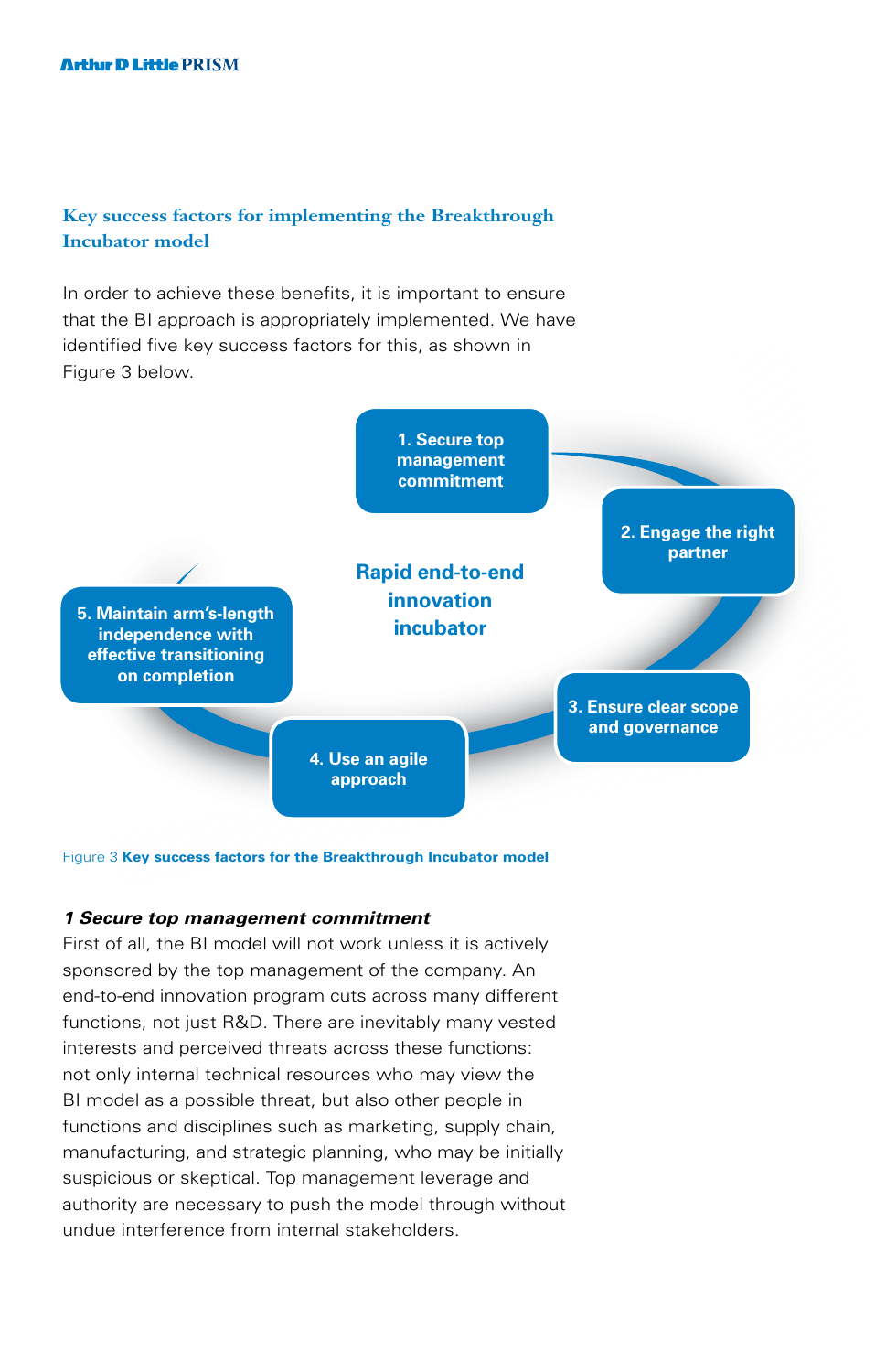## **Key success factors for implementing the Breakthrough Incubator model**

In order to achieve these benefits, it is important to ensure that the BI approach is appropriately implemented. We have identified five key success factors for this, as shown in Figure 3 below.



Figure 3 **Key success factors for the Breakthrough Incubator model**

#### *1 Secure top management commitment*

First of all, the BI model will not work unless it is actively sponsored by the top management of the company. An end-to-end innovation program cuts across many different functions, not just R&D. There are inevitably many vested interests and perceived threats across these functions: not only internal technical resources who may view the BI model as a possible threat, but also other people in functions and disciplines such as marketing, supply chain, manufacturing, and strategic planning, who may be initially suspicious or skeptical. Top management leverage and authority are necessary to push the model through without undue interference from internal stakeholders.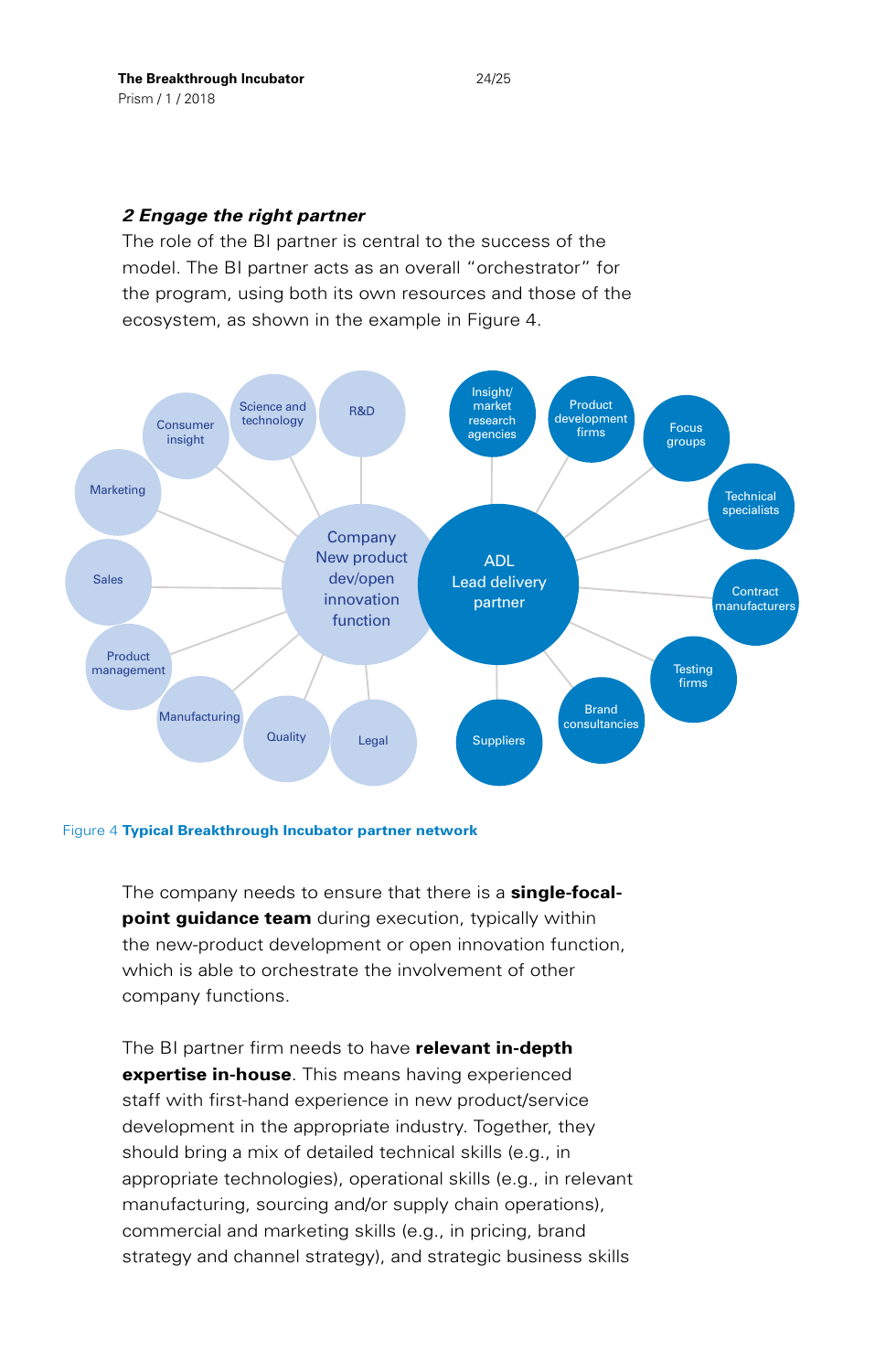### *2 Engage the right partner*

The role of the BI partner is central to the success of the model. The BI partner acts as an overall "orchestrator" for the program, using both its own resources and those of the ecosystem, as shown in the example in Figure 4.



#### Figure 4 **Typical Breakthrough Incubator partner network**

The company needs to ensure that there is a **single-focalpoint guidance team** during execution, typically within the new-product development or open innovation function, which is able to orchestrate the involvement of other company functions.

The BI partner firm needs to have **relevant in-depth expertise in-house**. This means having experienced staff with first-hand experience in new product/service development in the appropriate industry. Together, they should bring a mix of detailed technical skills (e.g., in appropriate technologies), operational skills (e.g., in relevant manufacturing, sourcing and/or supply chain operations), commercial and marketing skills (e.g., in pricing, brand strategy and channel strategy), and strategic business skills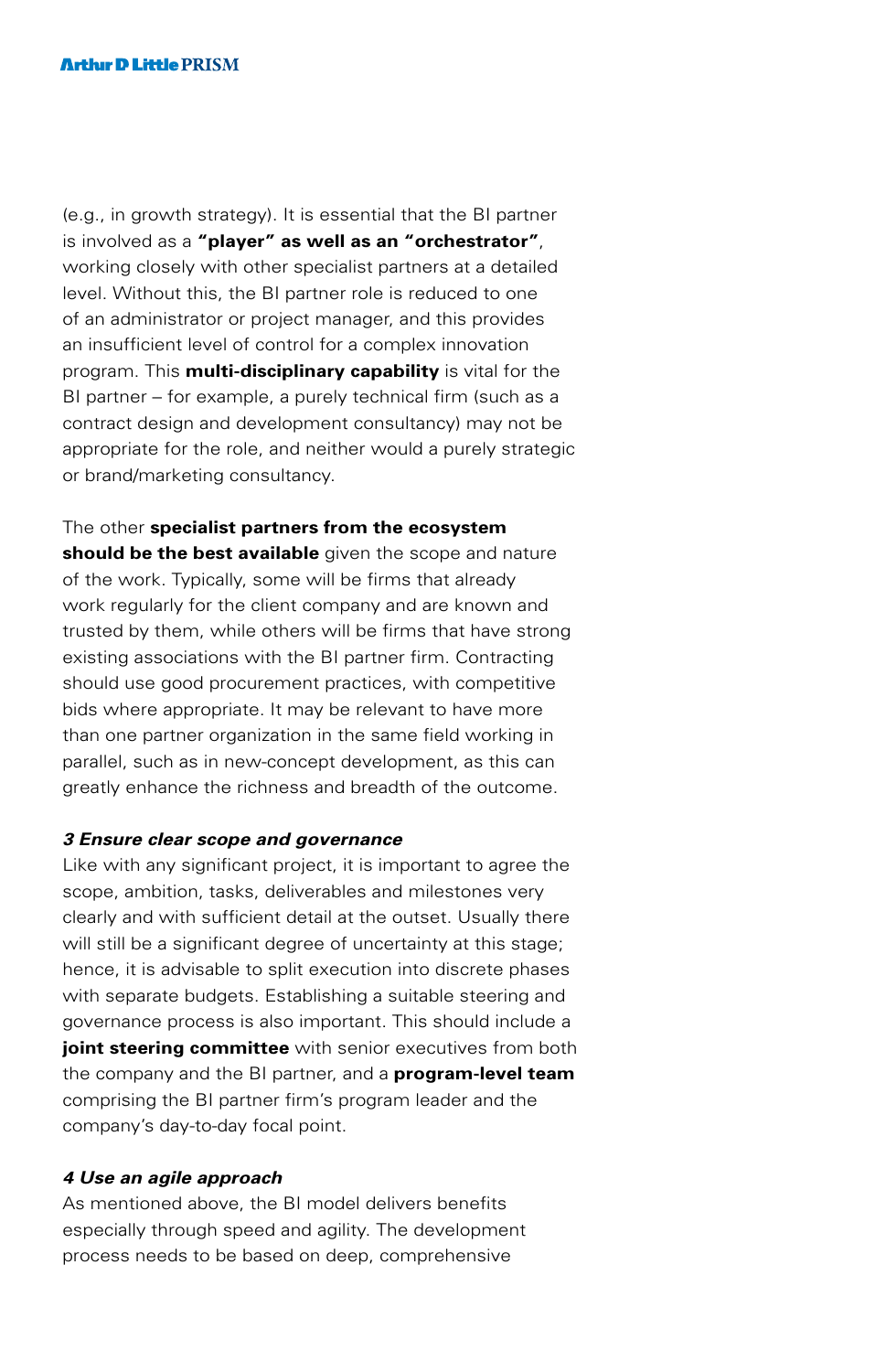(e.g., in growth strategy). It is essential that the BI partner is involved as a **"player" as well as an "orchestrator"**, working closely with other specialist partners at a detailed level. Without this, the BI partner role is reduced to one of an administrator or project manager, and this provides an insufficient level of control for a complex innovation program. This **multi-disciplinary capability** is vital for the BI partner – for example, a purely technical firm (such as a contract design and development consultancy) may not be appropriate for the role, and neither would a purely strategic or brand/marketing consultancy.

The other **specialist partners from the ecosystem should be the best available** given the scope and nature of the work. Typically, some will be firms that already work regularly for the client company and are known and trusted by them, while others will be firms that have strong existing associations with the BI partner firm. Contracting should use good procurement practices, with competitive bids where appropriate. It may be relevant to have more than one partner organization in the same field working in parallel, such as in new-concept development, as this can greatly enhance the richness and breadth of the outcome.

#### *3 Ensure clear scope and governance*

Like with any significant project, it is important to agree the scope, ambition, tasks, deliverables and milestones very clearly and with sufficient detail at the outset. Usually there will still be a significant degree of uncertainty at this stage; hence, it is advisable to split execution into discrete phases with separate budgets. Establishing a suitable steering and governance process is also important. This should include a **joint steering committee** with senior executives from both the company and the BI partner, and a **program-level team** comprising the BI partner firm's program leader and the company's day-to-day focal point.

#### *4 Use an agile approach*

As mentioned above, the BI model delivers benefits especially through speed and agility. The development process needs to be based on deep, comprehensive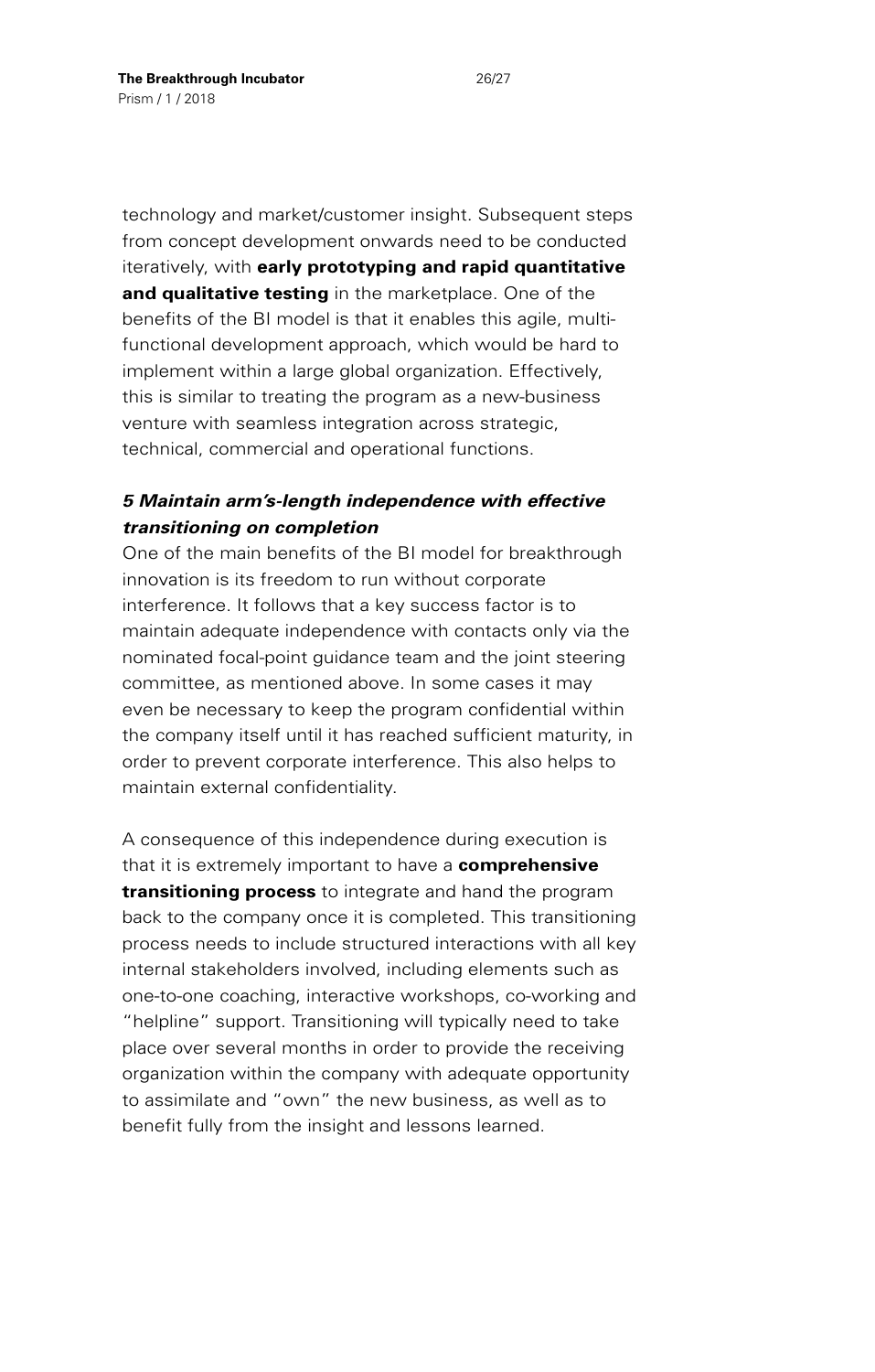technology and market/customer insight. Subsequent steps from concept development onwards need to be conducted iteratively, with **early prototyping and rapid quantitative and qualitative testing** in the marketplace. One of the benefits of the BI model is that it enables this agile, multifunctional development approach, which would be hard to implement within a large global organization. Effectively, this is similar to treating the program as a new-business venture with seamless integration across strategic, technical, commercial and operational functions.

## *5 Maintain arm's-length independence with effective transitioning on completion*

One of the main benefits of the BI model for breakthrough innovation is its freedom to run without corporate interference. It follows that a key success factor is to maintain adequate independence with contacts only via the nominated focal-point guidance team and the joint steering committee, as mentioned above. In some cases it may even be necessary to keep the program confidential within the company itself until it has reached sufficient maturity, in order to prevent corporate interference. This also helps to maintain external confidentiality.

A consequence of this independence during execution is that it is extremely important to have a **comprehensive transitioning process** to integrate and hand the program back to the company once it is completed. This transitioning process needs to include structured interactions with all key internal stakeholders involved, including elements such as one-to-one coaching, interactive workshops, co-working and "helpline" support. Transitioning will typically need to take place over several months in order to provide the receiving organization within the company with adequate opportunity to assimilate and "own" the new business, as well as to benefit fully from the insight and lessons learned.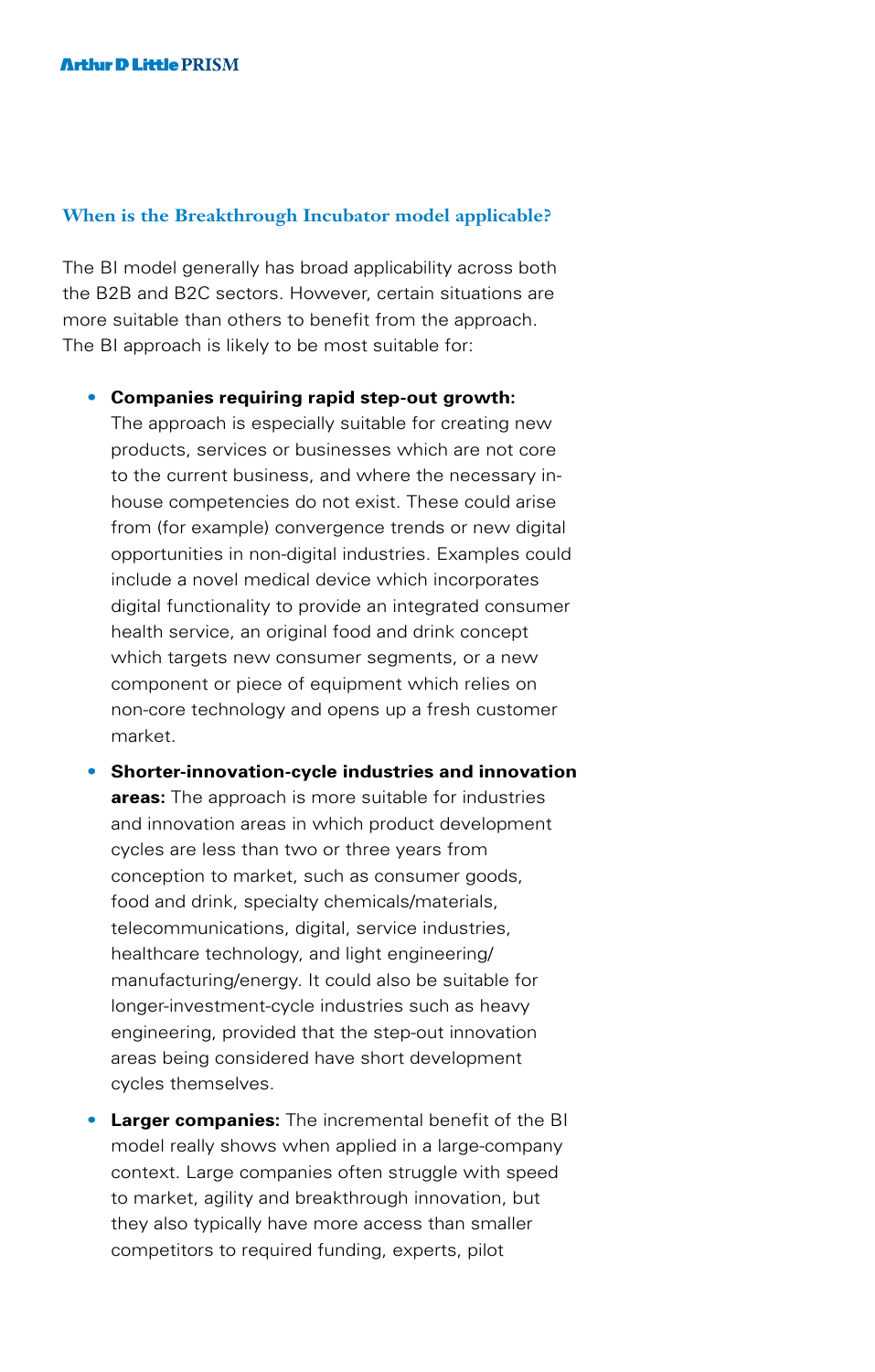#### **When is the Breakthrough Incubator model applicable?**

The BI model generally has broad applicability across both the B2B and B2C sectors. However, certain situations are more suitable than others to benefit from the approach. The BI approach is likely to be most suitable for:

- **Companies requiring rapid step-out growth:** The approach is especially suitable for creating new products, services or businesses which are not core to the current business, and where the necessary inhouse competencies do not exist. These could arise from (for example) convergence trends or new digital opportunities in non-digital industries. Examples could include a novel medical device which incorporates digital functionality to provide an integrated consumer health service, an original food and drink concept which targets new consumer segments, or a new component or piece of equipment which relies on non-core technology and opens up a fresh customer market.
- **Shorter-innovation-cycle industries and innovation areas:** The approach is more suitable for industries and innovation areas in which product development cycles are less than two or three years from conception to market, such as consumer goods, food and drink, specialty chemicals/materials, telecommunications, digital, service industries, healthcare technology, and light engineering/ manufacturing/energy. It could also be suitable for longer-investment-cycle industries such as heavy engineering, provided that the step-out innovation areas being considered have short development cycles themselves.
- **Larger companies:** The incremental benefit of the BI model really shows when applied in a large-company context. Large companies often struggle with speed to market, agility and breakthrough innovation, but they also typically have more access than smaller competitors to required funding, experts, pilot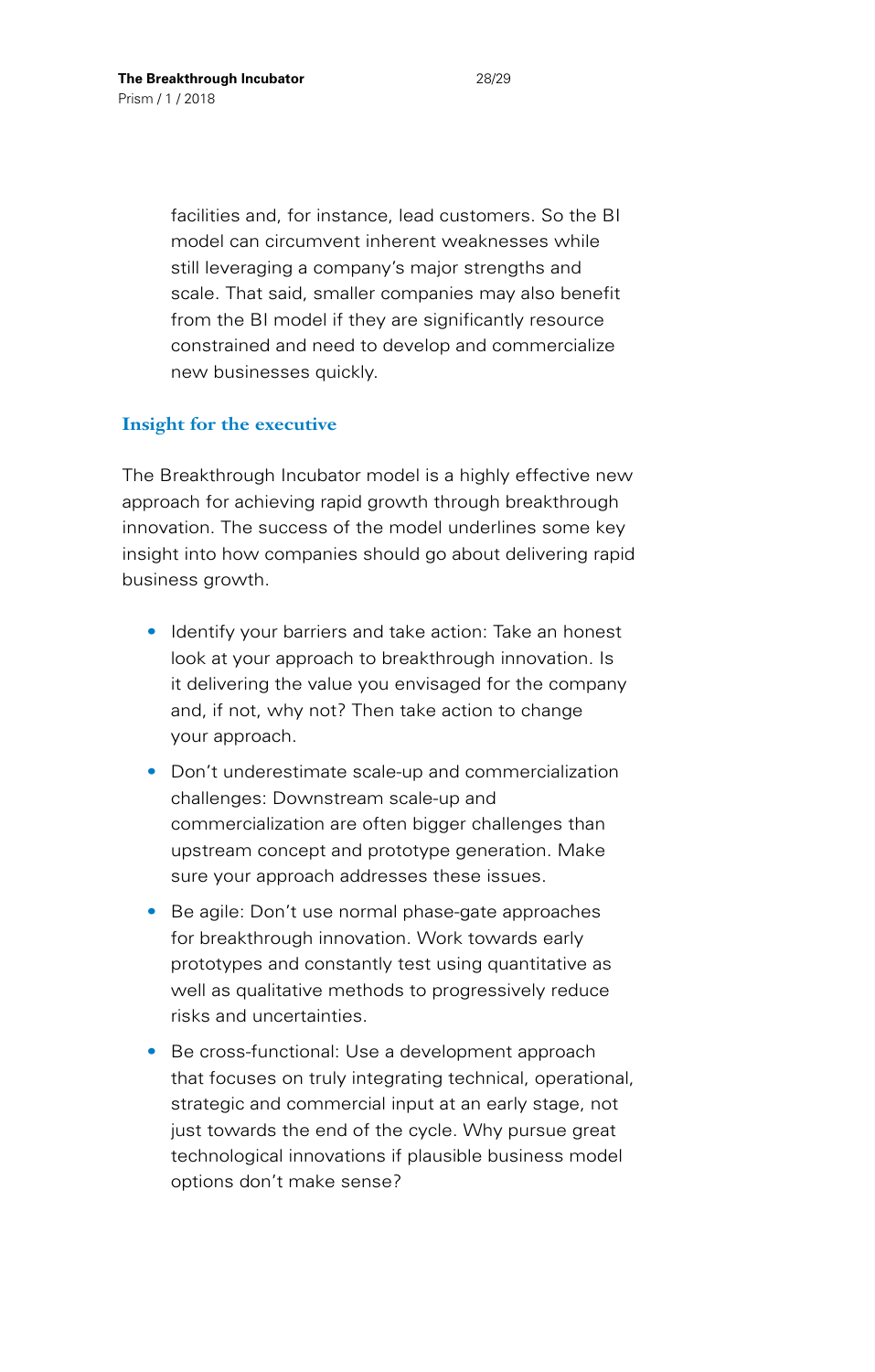facilities and, for instance, lead customers. So the BI model can circumvent inherent weaknesses while still leveraging a company's major strengths and scale. That said, smaller companies may also benefit from the BI model if they are significantly resource constrained and need to develop and commercialize new businesses quickly.

#### **Insight for the executive**

The Breakthrough Incubator model is a highly effective new approach for achieving rapid growth through breakthrough innovation. The success of the model underlines some key insight into how companies should go about delivering rapid business growth.

- Identify your barriers and take action: Take an honest look at your approach to breakthrough innovation. Is it delivering the value you envisaged for the company and, if not, why not? Then take action to change your approach.
- Don't underestimate scale-up and commercialization challenges: Downstream scale-up and commercialization are often bigger challenges than upstream concept and prototype generation. Make sure your approach addresses these issues.
- Be agile: Don't use normal phase-gate approaches for breakthrough innovation. Work towards early prototypes and constantly test using quantitative as well as qualitative methods to progressively reduce risks and uncertainties.
- Be cross-functional: Use a development approach that focuses on truly integrating technical, operational, strategic and commercial input at an early stage, not just towards the end of the cycle. Why pursue great technological innovations if plausible business model options don't make sense?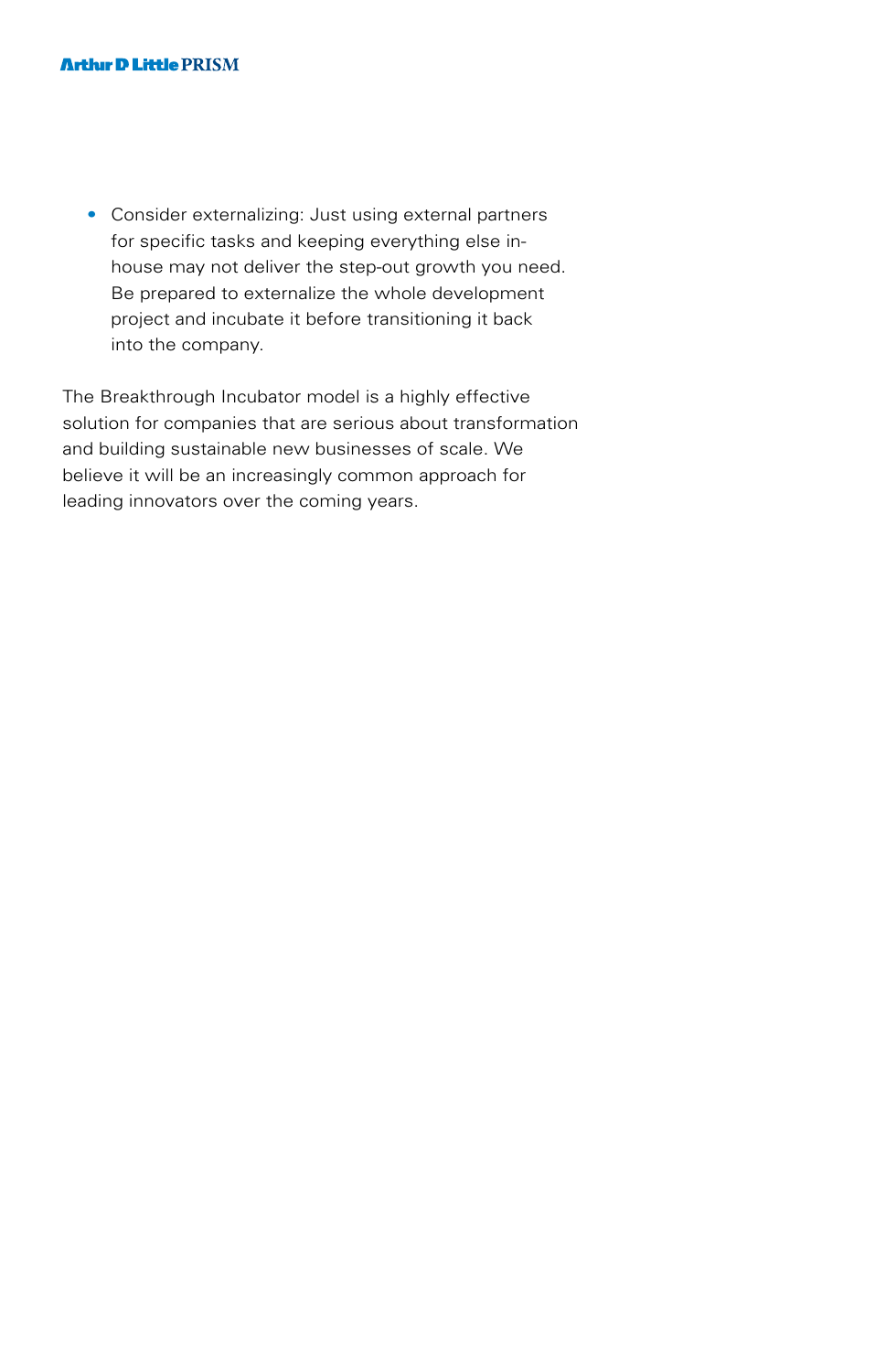• Consider externalizing: Just using external partners for specific tasks and keeping everything else inhouse may not deliver the step-out growth you need. Be prepared to externalize the whole development project and incubate it before transitioning it back into the company.

The Breakthrough Incubator model is a highly effective solution for companies that are serious about transformation and building sustainable new businesses of scale. We believe it will be an increasingly common approach for leading innovators over the coming years.